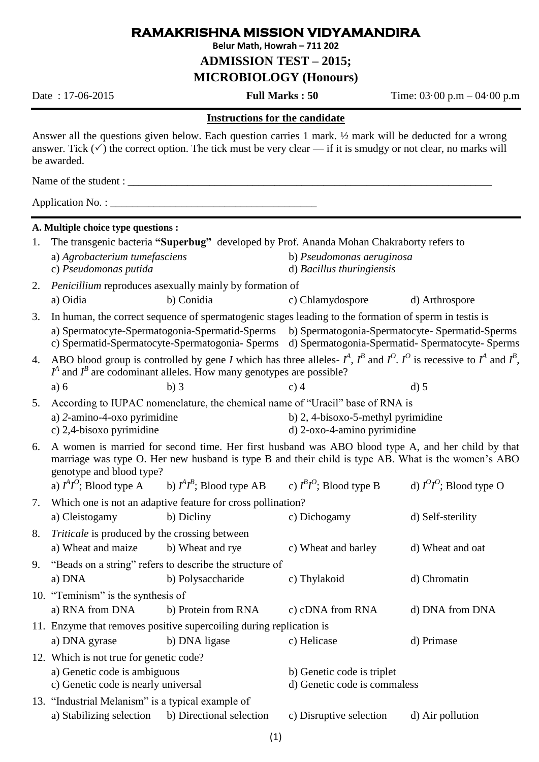### **RAMAKRISHNA MISSION VIDYAMANDIRA**

**Belur Math, Howrah – 711 202**

**ADMISSION TEST – 2015;** 

**MICROBIOLOGY (Honours)**

Date : 17-06-2015 **Full Marks : 50** Time: 03·00 p.m – 04·00 p.m

### **Instructions for the candidate**

Answer all the questions given below. Each question carries 1 mark. ½ mark will be deducted for a wrong answer. Tick  $(\checkmark)$  the correct option. The tick must be very clear — if it is smudgy or not clear, no marks will be awarded.

Name of the student :

Application No. : \_\_\_\_\_\_\_\_\_\_\_\_\_\_\_\_\_\_\_\_\_\_\_\_\_\_\_\_\_\_\_\_\_\_\_\_\_\_

### **A. Multiple choice type questions :**

|    | 1. The transgenic bacteria "Superbug" developed by Prof. Ananda Mohan Chakraborty refers to                                                                                                                                                                                                                               |                                                                     |                                                                               |                            |  |  |
|----|---------------------------------------------------------------------------------------------------------------------------------------------------------------------------------------------------------------------------------------------------------------------------------------------------------------------------|---------------------------------------------------------------------|-------------------------------------------------------------------------------|----------------------------|--|--|
|    | a) Agrobacterium tumefasciens<br>c) Pseudomonas putida                                                                                                                                                                                                                                                                    |                                                                     | b) Pseudomonas aeruginosa<br>d) Bacillus thuringiensis                        |                            |  |  |
| 2. |                                                                                                                                                                                                                                                                                                                           | Penicillium reproduces asexually mainly by formation of             |                                                                               |                            |  |  |
|    | a) Oidia                                                                                                                                                                                                                                                                                                                  | b) Conidia                                                          | c) Chlamydospore                                                              | d) Arthrospore             |  |  |
| 3. | In human, the correct sequence of spermatogenic stages leading to the formation of sperm in test is is<br>a) Spermatocyte-Spermatogonia-Spermatid-Sperms b) Spermatogonia-Spermatocyte-Spermatid-Sperms<br>c) Spermatid-Spermatocyte-Spermatogonia-Sperms d) Spermatogonia-Spermatid-Spermatocyte-Sperms                  |                                                                     |                                                                               |                            |  |  |
| 4. | ABO blood group is controlled by gene I which has three alleles- $I^A$ , $I^B$ and $I^O$ . $I^O$ is recessive to $I^A$ and $I^B$ ,<br>$I^A$ and $I^B$ are codominant alleles. How many genotypes are possible?                                                                                                            |                                                                     |                                                                               |                            |  |  |
|    | a) 6                                                                                                                                                                                                                                                                                                                      | $b)$ 3                                                              | $c)$ 4                                                                        | $d)$ 5                     |  |  |
| 5. |                                                                                                                                                                                                                                                                                                                           |                                                                     | According to IUPAC nomenclature, the chemical name of "Uracil" base of RNA is |                            |  |  |
|    | a) 2-amino-4-oxo pyrimidine<br>c) 2,4-bisoxo pyrimidine                                                                                                                                                                                                                                                                   |                                                                     | b) $2, 4$ -bisoxo-5-methyl pyrimidine<br>d) 2-oxo-4-amino pyrimidine          |                            |  |  |
| 6. | A women is married for second time. Her first husband was ABO blood type A, and her child by that<br>marriage was type O. Her new husband is type B and their child is type AB. What is the women's ABO<br>genotype and blood type?<br>a) $I^4I^0$ ; Blood type A b) $I^4I^B$ ; Blood type AB c) $I^B I^0$ ; Blood type B |                                                                     |                                                                               |                            |  |  |
|    |                                                                                                                                                                                                                                                                                                                           |                                                                     |                                                                               | d) $I^0I^0$ ; Blood type O |  |  |
| 7. |                                                                                                                                                                                                                                                                                                                           | Which one is not an adaptive feature for cross pollination?         |                                                                               |                            |  |  |
|    | a) Cleistogamy                                                                                                                                                                                                                                                                                                            | b) Dicliny                                                          | c) Dichogamy                                                                  | d) Self-sterility          |  |  |
| 8. |                                                                                                                                                                                                                                                                                                                           | <i>Triticale</i> is produced by the crossing between                |                                                                               |                            |  |  |
|    | a) Wheat and maize                                                                                                                                                                                                                                                                                                        | b) Wheat and rye                                                    | c) Wheat and barley                                                           | d) Wheat and oat           |  |  |
| 9. | "Beads on a string" refers to describe the structure of                                                                                                                                                                                                                                                                   |                                                                     |                                                                               |                            |  |  |
|    | a) DNA                                                                                                                                                                                                                                                                                                                    | b) Polysaccharide                                                   | c) Thylakoid                                                                  | d) Chromatin               |  |  |
|    | 10. "Teminism" is the synthesis of                                                                                                                                                                                                                                                                                        |                                                                     |                                                                               |                            |  |  |
|    | a) RNA from DNA                                                                                                                                                                                                                                                                                                           | b) Protein from RNA                                                 | c) cDNA from RNA                                                              | d) DNA from DNA            |  |  |
|    |                                                                                                                                                                                                                                                                                                                           | 11. Enzyme that removes positive supercoiling during replication is |                                                                               |                            |  |  |
|    | a) DNA gyrase                                                                                                                                                                                                                                                                                                             | b) DNA ligase                                                       | c) Helicase                                                                   | d) Primase                 |  |  |
|    | 12. Which is not true for genetic code?                                                                                                                                                                                                                                                                                   |                                                                     |                                                                               |                            |  |  |
|    | a) Genetic code is ambiguous<br>c) Genetic code is nearly universal                                                                                                                                                                                                                                                       |                                                                     | b) Genetic code is triplet<br>d) Genetic code is commaless                    |                            |  |  |
|    | 13. "Industrial Melanism" is a typical example of                                                                                                                                                                                                                                                                         |                                                                     |                                                                               |                            |  |  |
|    | a) Stabilizing selection                                                                                                                                                                                                                                                                                                  | b) Directional selection                                            | c) Disruptive selection                                                       | d) Air pollution           |  |  |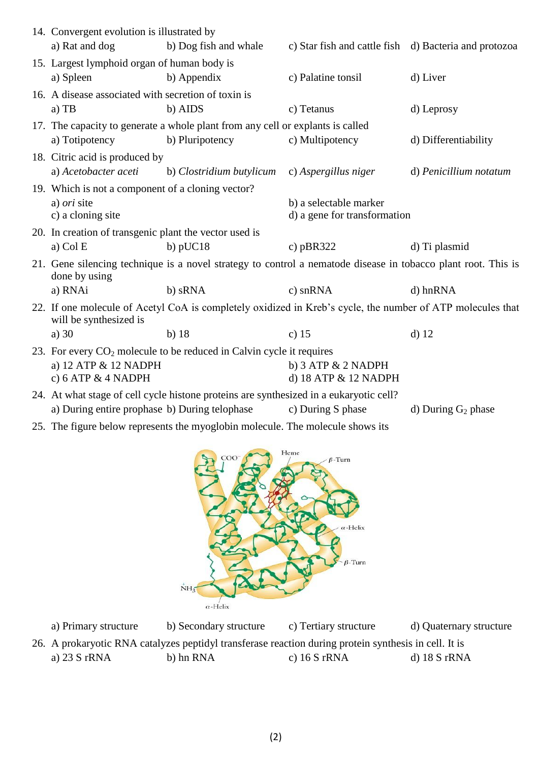|                                                                        | 14. Convergent evolution is illustrated by<br>c) Star fish and cattle fish d) Bacteria and protozoa                                  |                          |                              |                        |  |
|------------------------------------------------------------------------|--------------------------------------------------------------------------------------------------------------------------------------|--------------------------|------------------------------|------------------------|--|
|                                                                        | a) Rat and dog                                                                                                                       | b) Dog fish and whale    |                              |                        |  |
|                                                                        | 15. Largest lymphoid organ of human body is                                                                                          |                          |                              |                        |  |
|                                                                        | a) Spleen                                                                                                                            | b) Appendix              | c) Palatine tonsil           | d) Liver               |  |
|                                                                        | 16. A disease associated with secretion of toxin is                                                                                  |                          |                              |                        |  |
|                                                                        | $a)$ TB                                                                                                                              | b) AIDS                  | c) Tetanus                   | d) Leprosy             |  |
|                                                                        | 17. The capacity to generate a whole plant from any cell or explants is called                                                       |                          |                              |                        |  |
|                                                                        | a) Totipotency                                                                                                                       | b) Pluripotency          | c) Multipotency              | d) Differentiability   |  |
|                                                                        | 18. Citric acid is produced by                                                                                                       |                          |                              |                        |  |
|                                                                        | a) Acetobacter aceti                                                                                                                 | b) Clostridium butylicum | c) Aspergillus niger         | d) Penicillium notatum |  |
|                                                                        | 19. Which is not a component of a cloning vector?                                                                                    |                          |                              |                        |  |
|                                                                        | a) <i>ori</i> site                                                                                                                   |                          | b) a selectable marker       |                        |  |
|                                                                        | c) a cloning site                                                                                                                    |                          | d) a gene for transformation |                        |  |
|                                                                        | 20. In creation of transgenic plant the vector used is                                                                               |                          |                              |                        |  |
|                                                                        | a) Col E                                                                                                                             | b) $pUC18$               | c) $pBR322$                  | d) Ti plasmid          |  |
|                                                                        | 21. Gene silencing technique is a novel strategy to control a nematode disease in tobacco plant root. This is<br>done by using       |                          |                              |                        |  |
|                                                                        | a) RNAi                                                                                                                              | b) sRNA                  | c) snRNA                     | d) hnRNA               |  |
|                                                                        | 22. If one molecule of Acetyl CoA is completely oxidized in Kreb's cycle, the number of ATP molecules that<br>will be synthesized is |                          |                              |                        |  |
|                                                                        | a) $30$                                                                                                                              | $b)$ 18                  | c) $15$                      | $d)$ 12                |  |
| 23. For every $CO2$ molecule to be reduced in Calvin cycle it requires |                                                                                                                                      |                          |                              |                        |  |
|                                                                        | a) 12 ATP & 12 NADPH<br>c) 6 ATP $&$ 4 NADPH                                                                                         |                          | b) $3$ ATP $& 2$ NADPH       |                        |  |
|                                                                        |                                                                                                                                      |                          | d) 18 ATP & 12 NADPH         |                        |  |
|                                                                        | 24. At what stage of cell cycle histone proteins are synthesized in a eukaryotic cell?                                               |                          |                              |                        |  |
|                                                                        | a) During entire prophase b) During telophase                                                                                        |                          | c) During S phase            | d) During $G_2$ phase  |  |

25. The figure below represents the myoglobin molecule. The molecule shows its



a) Primary structure b) Secondary structure c) Tertiary structure d) Quaternary structure 26. A prokaryotic RNA catalyzes peptidyl transferase reaction during protein synthesis in cell. It is a) 23 S rRNA b) hn RNA c) 16 S rRNA d) 18 S rRNA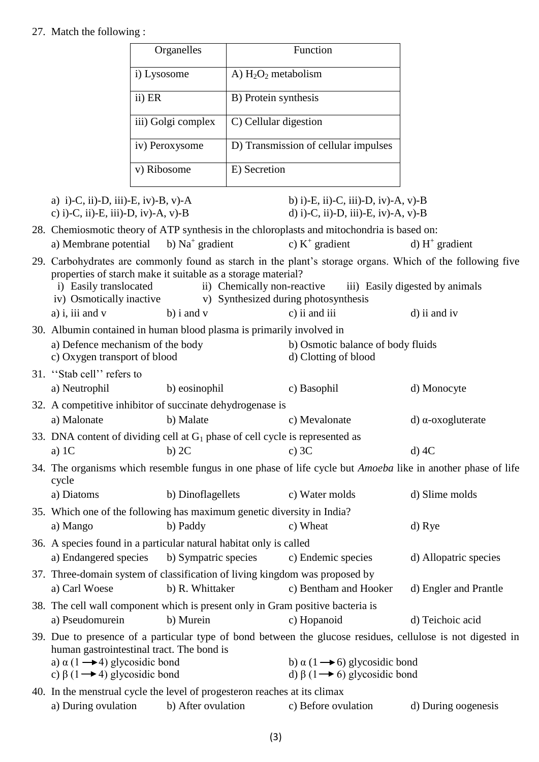# 27. Match the following :

|                                                                                                                                                                                                                                                                                                                                           | Organelles                                                                                     |                        | Function                                                                                   |                                                                                                                    |
|-------------------------------------------------------------------------------------------------------------------------------------------------------------------------------------------------------------------------------------------------------------------------------------------------------------------------------------------|------------------------------------------------------------------------------------------------|------------------------|--------------------------------------------------------------------------------------------|--------------------------------------------------------------------------------------------------------------------|
|                                                                                                                                                                                                                                                                                                                                           | i) Lysosome                                                                                    | A) $H_2O_2$ metabolism |                                                                                            |                                                                                                                    |
|                                                                                                                                                                                                                                                                                                                                           | ii) ER                                                                                         | B) Protein synthesis   |                                                                                            |                                                                                                                    |
|                                                                                                                                                                                                                                                                                                                                           | iii) Golgi complex                                                                             | C) Cellular digestion  |                                                                                            |                                                                                                                    |
|                                                                                                                                                                                                                                                                                                                                           | iv) Peroxysome                                                                                 |                        | D) Transmission of cellular impulses                                                       |                                                                                                                    |
|                                                                                                                                                                                                                                                                                                                                           | v) Ribosome                                                                                    | E) Secretion           |                                                                                            |                                                                                                                    |
| a) i)-C, ii)-D, iii)-E, iv)-B, v)-A<br>c) i)-C, ii)-E, iii)-D, iv)-A, v)-B                                                                                                                                                                                                                                                                |                                                                                                |                        | b) i)-E, ii)-C, iii)-D, iv)-A, v)-B<br>d) i)-C, ii)-D, iii)-E, iv)-A, v)-B                 |                                                                                                                    |
|                                                                                                                                                                                                                                                                                                                                           |                                                                                                |                        | 28. Chemiosmotic theory of ATP synthesis in the chloroplasts and mitochondria is based on: |                                                                                                                    |
| a) Membrane potential                                                                                                                                                                                                                                                                                                                     | b) $Na+ gradient$                                                                              |                        | c) $K^+$ gradient                                                                          | d) $H^+$ gradient                                                                                                  |
| 29. Carbohydrates are commonly found as starch in the plant's storage organs. Which of the following five<br>properties of starch make it suitable as a storage material?<br>i) Easily translocated<br>ii) Chemically non-reactive<br>iii) Easily digested by animals<br>iv) Osmotically inactive<br>v) Synthesized during photosynthesis |                                                                                                |                        |                                                                                            |                                                                                                                    |
| a) i, iii and $v$                                                                                                                                                                                                                                                                                                                         | $b)$ i and $v$                                                                                 |                        | c) ii and iii                                                                              | d) ii and iv                                                                                                       |
| 30. Albumin contained in human blood plasma is primarily involved in<br>a) Defence mechanism of the body<br>b) Osmotic balance of body fluids<br>d) Clotting of blood<br>c) Oxygen transport of blood                                                                                                                                     |                                                                                                |                        |                                                                                            |                                                                                                                    |
| 31. "Stab cell" refers to                                                                                                                                                                                                                                                                                                                 |                                                                                                |                        |                                                                                            |                                                                                                                    |
| a) Neutrophil                                                                                                                                                                                                                                                                                                                             | b) eosinophil                                                                                  |                        | c) Basophil                                                                                | d) Monocyte                                                                                                        |
| a) Malonate                                                                                                                                                                                                                                                                                                                               | 32. A competitive inhibitor of succinate dehydrogenase is<br>b) Malate                         |                        | c) Mevalonate                                                                              | $d)$ α-oxogluterate                                                                                                |
|                                                                                                                                                                                                                                                                                                                                           | 33. DNA content of dividing cell at $G_1$ phase of cell cycle is represented as                |                        |                                                                                            |                                                                                                                    |
| a) $1C$                                                                                                                                                                                                                                                                                                                                   | $b)$ 2C                                                                                        |                        | c) $3C$                                                                                    | $d$ ) 4C                                                                                                           |
| cycle                                                                                                                                                                                                                                                                                                                                     |                                                                                                |                        |                                                                                            | 34. The organisms which resemble fungus in one phase of life cycle but <i>Amoeba</i> like in another phase of life |
| a) Diatoms                                                                                                                                                                                                                                                                                                                                | b) Dinoflagellets                                                                              |                        | c) Water molds                                                                             | d) Slime molds                                                                                                     |
| a) Mango                                                                                                                                                                                                                                                                                                                                  | 35. Which one of the following has maximum genetic diversity in India?<br>b) Paddy             |                        | c) Wheat                                                                                   | d) Rye                                                                                                             |
|                                                                                                                                                                                                                                                                                                                                           | 36. A species found in a particular natural habitat only is called                             |                        |                                                                                            |                                                                                                                    |
| a) Endangered species                                                                                                                                                                                                                                                                                                                     | b) Sympatric species                                                                           |                        | c) Endemic species                                                                         | d) Allopatric species                                                                                              |
| a) Carl Woese                                                                                                                                                                                                                                                                                                                             | 37. Three-domain system of classification of living kingdom was proposed by<br>b) R. Whittaker |                        | c) Bentham and Hooker                                                                      | d) Engler and Prantle                                                                                              |
| a) Pseudomurein                                                                                                                                                                                                                                                                                                                           | 38. The cell wall component which is present only in Gram positive bacteria is<br>b) Murein    |                        | c) Hopanoid                                                                                | d) Teichoic acid                                                                                                   |
|                                                                                                                                                                                                                                                                                                                                           |                                                                                                |                        |                                                                                            | 39. Due to presence of a particular type of bond between the glucose residues, cellulose is not digested in        |
|                                                                                                                                                                                                                                                                                                                                           | human gastrointestinal tract. The bond is                                                      |                        |                                                                                            |                                                                                                                    |
| a) $\alpha$ (1 $\rightarrow$ 4) glycosidic bond                                                                                                                                                                                                                                                                                           |                                                                                                |                        | b) $\alpha$ (1 $\rightarrow$ 6) glycosidic bond                                            |                                                                                                                    |
| c) $\beta$ (1 $\rightarrow$ 4) glycosidic bond                                                                                                                                                                                                                                                                                            |                                                                                                |                        | d) $\beta$ (1 $\rightarrow$ 6) glycosidic bond                                             |                                                                                                                    |
|                                                                                                                                                                                                                                                                                                                                           | 40. In the menstrual cycle the level of progesteron reaches at its climax                      |                        |                                                                                            |                                                                                                                    |

| a) During ovulation | b) After ovulation | c) Before ovulation | d) During oogenesis |
|---------------------|--------------------|---------------------|---------------------|